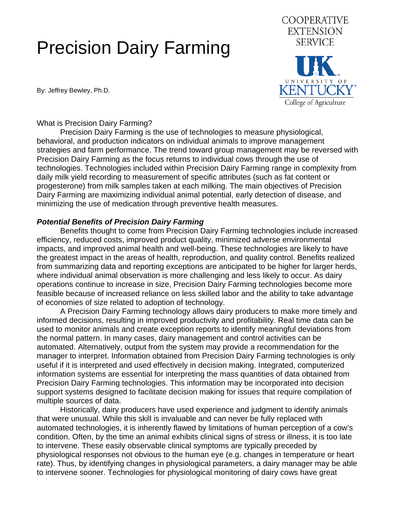## Precision Dairy Farming

By: Jeffrey Bewley, Ph.D.



What is Precision Dairy Farming?

 Precision Dairy Farming is the use of technologies to measure physiological, behavioral, and production indicators on individual animals to improve management strategies and farm performance. The trend toward group management may be reversed with Precision Dairy Farming as the focus returns to individual cows through the use of technologies. Technologies included within Precision Dairy Farming range in complexity from daily milk yield recording to measurement of specific attributes (such as fat content or progesterone) from milk samples taken at each milking. The main objectives of Precision Dairy Farming are maximizing individual animal potential, early detection of disease, and minimizing the use of medication through preventive health measures.

## *Potential Benefits of Precision Dairy Farming*

 Benefits thought to come from Precision Dairy Farming technologies include increased efficiency, reduced costs, improved product quality, minimized adverse environmental impacts, and improved animal health and well-being. These technologies are likely to have the greatest impact in the areas of health, reproduction, and quality control. Benefits realized from summarizing data and reporting exceptions are anticipated to be higher for larger herds, where individual animal observation is more challenging and less likely to occur. As dairy operations continue to increase in size, Precision Dairy Farming technologies become more feasible because of increased reliance on less skilled labor and the ability to take advantage of economies of size related to adoption of technology.

 A Precision Dairy Farming technology allows dairy producers to make more timely and informed decisions, resulting in improved productivity and profitability. Real time data can be used to monitor animals and create exception reports to identify meaningful deviations from the normal pattern. In many cases, dairy management and control activities can be automated. Alternatively, output from the system may provide a recommendation for the manager to interpret. Information obtained from Precision Dairy Farming technologies is only useful if it is interpreted and used effectively in decision making. Integrated, computerized information systems are essential for interpreting the mass quantities of data obtained from Precision Dairy Farming technologies. This information may be incorporated into decision support systems designed to facilitate decision making for issues that require compilation of multiple sources of data.

 Historically, dairy producers have used experience and judgment to identify animals that were unusual. While this skill is invaluable and can never be fully replaced with automated technologies, it is inherently flawed by limitations of human perception of a cow's condition. Often, by the time an animal exhibits clinical signs of stress or illness, it is too late to intervene. These easily observable clinical symptoms are typically preceded by physiological responses not obvious to the human eye (e.g. changes in temperature or heart rate). Thus, by identifying changes in physiological parameters, a dairy manager may be able to intervene sooner. Technologies for physiological monitoring of dairy cows have great